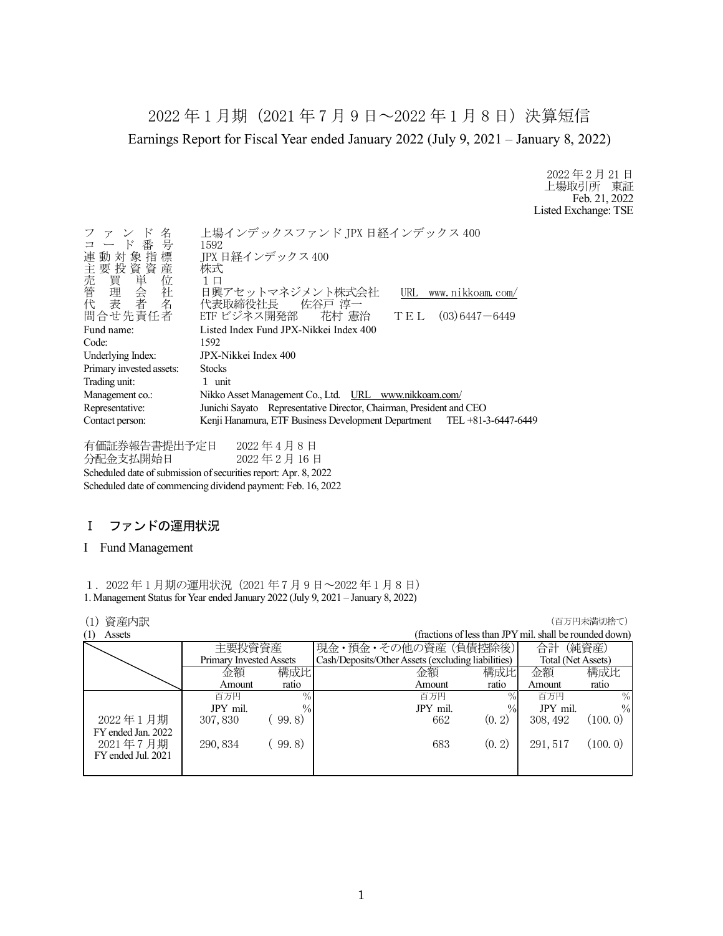2022 年 1 月期(2021 年 7 月 9 日~2022 年 1 月 8 日)決算短信 Earnings Report for Fiscal Year ended January 2022 (July 9, 2021 – January 8, 2022)

> 2022 年 2 月 21 日 上場取引所 東証 Feb. 21, 2022 Listed Exchange: TSE

| 名<br>$\mathbb{F}$<br>コード番号<br>連動対象指標<br>)主売管代<br>「我」、「我」、「我」<br>「我」<br>「我」<br>「我」<br>「我」<br>「我」<br>「我」<br>「我」<br>問合せ先責任者 | 上場インデックスファンド JPX 日経インデックス 400<br>1592<br>IPX 日経インデックス 400<br>株式<br>1 口<br>日興アセットマネジメント株式会社<br>www.nikkoam.com/<br>URL<br>代表取締役社長 佐谷戸 淳一<br>ETF ビジネス開発部 花村 憲治<br>$(03)$ 6447 $-$ 6449<br>TEL |
|--------------------------------------------------------------------------------------------------------------------------|---------------------------------------------------------------------------------------------------------------------------------------------------------------------------------------------|
| Fund name:                                                                                                               | Listed Index Fund JPX-Nikkei Index 400                                                                                                                                                      |
| Code:                                                                                                                    | 1592                                                                                                                                                                                        |
| Underlying Index:                                                                                                        | JPX-Nikkei Index 400                                                                                                                                                                        |
| Primary invested assets:                                                                                                 | <b>Stocks</b>                                                                                                                                                                               |
| Trading unit:                                                                                                            | 1 unit                                                                                                                                                                                      |
| Management co.:                                                                                                          | Nikko Asset Management Co., Ltd. URL www.nikkoam.com/                                                                                                                                       |
| Representative:                                                                                                          | Junichi Sayato Representative Director, Chairman, President and CEO                                                                                                                         |
| Contact person:                                                                                                          | Kenji Hanamura, ETF Business Development Department TEL +81-3-6447-6449                                                                                                                     |
|                                                                                                                          |                                                                                                                                                                                             |

有価証券報告書提出予定日 2022 年 4 月 8 日 分配金支払開始日 2022 年 2 月 16 日 Scheduled date of submission of securities report: Apr. 8, 2022 Scheduled date of commencing dividend payment: Feb. 16, 2022

# Ⅰ ファンドの運用状況

## I Fund Management

1.2022 年 1 月期の運用状況(2021 年 7 月 9 日~2022 年 1 月 8 日) 1. Management Status for Year ended January 2022 (July 9, 2021 – January 8, 2022)

## **(1) 資産内訳 インフィング インフィング (1) する (1) する (1) する (1) する (1) する (1) する (1) する (1) する (**

|                            |                         |               |                                                    |                                                         |                    | ヽ — ノノ + ノ/ ヽ!!~! ノソ」□ ヽ ノ |
|----------------------------|-------------------------|---------------|----------------------------------------------------|---------------------------------------------------------|--------------------|----------------------------|
| $\left(1\right)$<br>Assets |                         |               |                                                    | (fractions of less than JPY mil. shall be rounded down) |                    |                            |
|                            | 主要投資資産                  |               | 現金・預金・その他の資産 (負債控除後)                               |                                                         | 合計                 | (純資産)                      |
|                            | Primary Invested Assets |               | Cash/Deposits/Other Assets (excluding liabilities) |                                                         | Total (Net Assets) |                            |
|                            | 金額                      | 構成比           | 金額                                                 | 構成比                                                     | 金額                 | 構成比                        |
|                            | Amount                  | ratio         | Amount                                             | ratio                                                   | Amount             | ratio                      |
|                            | 百万円                     | $\%$          | 百万円                                                | $\%$                                                    | 百万円                | $\frac{0}{0}$              |
|                            | JPY mil.                | $\frac{0}{0}$ | JPY mil.                                           | $\frac{0}{0}$                                           | JPY mil.           | $\frac{0}{0}$              |
| 2022年1月期                   | 307,830                 | 99.8)         | 662                                                | (0, 2)                                                  | 308, 492           | (100, 0)                   |
| FY ended Jan. 2022         |                         |               |                                                    |                                                         |                    |                            |
| 2021年7月期                   | 290, 834                | 99.8)         | 683                                                | (0, 2)                                                  | 291.517            | (100.0)                    |
| FY ended Jul. 2021         |                         |               |                                                    |                                                         |                    |                            |
|                            |                         |               |                                                    |                                                         |                    |                            |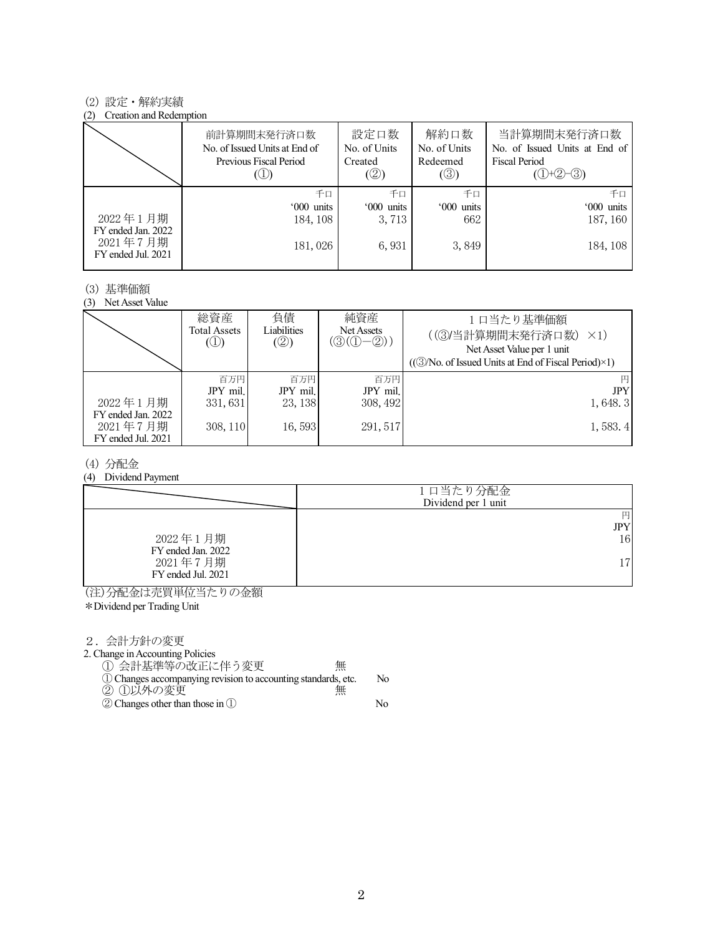### (2) 設定・解約実績

#### (2) Creation and Redemption

|                                                      | 前計算期間末発行済口数<br>No. of Issued Units at End of<br>Previous Fiscal Period | 設定口数<br>No. of Units<br>Created<br>(②) | 解約口数<br>No. of Units<br>Redeemed<br>$(\circledS)$ | 当計算期間末発行済口数<br>No. of Issued Units at End of<br><b>Fiscal Period</b><br>$(①+②-③)$ |
|------------------------------------------------------|------------------------------------------------------------------------|----------------------------------------|---------------------------------------------------|-----------------------------------------------------------------------------------|
|                                                      | 千口                                                                     | 千口                                     | 千口                                                | 千口                                                                                |
|                                                      | '000 units                                                             | '000 units                             | '000 units                                        | '000 units                                                                        |
| 2022年1月期                                             | 184, 108                                                               | 3,713                                  | 662                                               | 187, 160                                                                          |
| FY ended Jan. 2022<br>2021年7月期<br>FY ended Jul. 2021 | 181,026                                                                | 6,931                                  | 3,849                                             | 184, 108                                                                          |

### (3) 基準価額

(3) Net Asset Value

|                                                      | 総資産<br>Total Assets<br>$\mathcal{L}(\mathbb{D})$ | 負債<br>Liabilities<br>(②) | 純資産<br>Net Assets<br>$(\textcircled{3}(\textcircled{1}-\textcircled{2}))$ | 1口当たり基準価額<br>((3)当計算期間末発行済口数)<br>$\times$ 1)<br>Net Asset Value per 1 unit<br>$((\textcircled{3}/No. of Issued Units at End of Fiscal Period)\times 1)$ |
|------------------------------------------------------|--------------------------------------------------|--------------------------|---------------------------------------------------------------------------|---------------------------------------------------------------------------------------------------------------------------------------------------------|
|                                                      | 百万円                                              | 百万円                      | 百万円                                                                       | 円                                                                                                                                                       |
|                                                      | JPY mil.                                         | JPY mil.                 | JPY mil.                                                                  | <b>JPY</b>                                                                                                                                              |
| 2022年1月期                                             | 331, 631                                         | 23, 138                  | 308, 492                                                                  | 1,648.3                                                                                                                                                 |
| FY ended Jan. 2022<br>2021年7月期<br>FY ended Jul. 2021 | 308, 110                                         | 16,593                   | 291, 517                                                                  | 1,583.4                                                                                                                                                 |

## (4) 分配金

(4) Dividend Payment

|                                | 1口当たり分配金<br>Dividend per 1 unit |
|--------------------------------|---------------------------------|
|                                | 円<br><b>JPY</b>                 |
|                                |                                 |
| 2022年1月期<br>FY ended Jan. 2022 | 16                              |
| 2021年7月期<br>FY ended Jul. 2021 | 17                              |

(注)分配金は売買単位当たりの金額

\*Dividend per Trading Unit

2.会計方針の変更

2. Change in Accounting Policies

① 会計基準等の改正に伴う変更 無

- ①Changes accompanying revision to accounting standards, etc. No ② ①以外の変更 無
- ②Changes other than those in ① No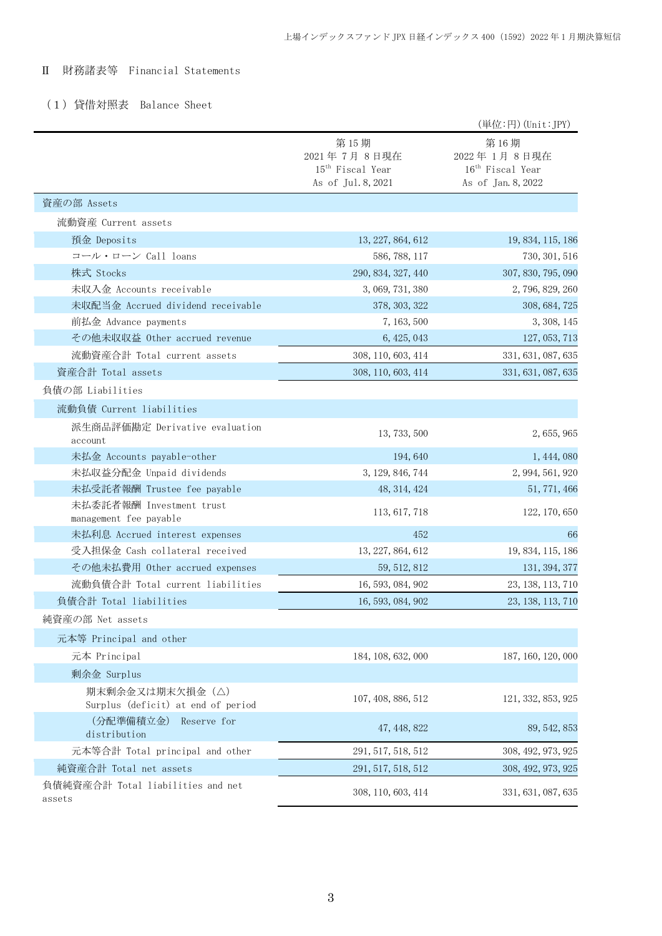# Ⅱ 財務諸表等 Financial Statements

# (1)貸借対照表 Balance Sheet

|                                                       |                                                                           | (単位:円) (Unit:JPY)                                                         |
|-------------------------------------------------------|---------------------------------------------------------------------------|---------------------------------------------------------------------------|
|                                                       | 第15期<br>2021年7月8日現在<br>15 <sup>th</sup> Fiscal Year<br>As of Jul. 8, 2021 | 第16期<br>2022年1月8日現在<br>16 <sup>th</sup> Fiscal Year<br>As of Jan. 8, 2022 |
| 資産の部 Assets                                           |                                                                           |                                                                           |
| 流動資産 Current assets                                   |                                                                           |                                                                           |
| 預金 Deposits                                           | 13, 227, 864, 612                                                         | 19, 834, 115, 186                                                         |
| コール・ローン Call loans                                    | 586, 788, 117                                                             | 730, 301, 516                                                             |
| 株式 Stocks                                             | 290, 834, 327, 440                                                        | 307, 830, 795, 090                                                        |
| 未収入金 Accounts receivable                              | 3, 069, 731, 380                                                          | 2, 796, 829, 260                                                          |
| 未収配当金 Accrued dividend receivable                     | 378, 303, 322                                                             | 308, 684, 725                                                             |
| 前払金 Advance payments                                  | 7, 163, 500                                                               | 3, 308, 145                                                               |
| その他未収収益 Other accrued revenue                         | 6, 425, 043                                                               | 127, 053, 713                                                             |
| 流動資産合計 Total current assets                           | 308, 110, 603, 414                                                        | 331, 631, 087, 635                                                        |
| 資産合計 Total assets                                     | 308, 110, 603, 414                                                        | 331, 631, 087, 635                                                        |
| 負債の部 Liabilities                                      |                                                                           |                                                                           |
| 流動負債 Current liabilities                              |                                                                           |                                                                           |
| 派生商品評価勘定 Derivative evaluation<br>account             | 13, 733, 500                                                              | 2, 655, 965                                                               |
| 未払金 Accounts payable-other                            | 194,640                                                                   | 1, 444, 080                                                               |
| 未払収益分配金 Unpaid dividends                              | 3, 129, 846, 744                                                          | 2, 994, 561, 920                                                          |
| 未払受託者報酬 Trustee fee payable                           | 48, 314, 424                                                              | 51, 771, 466                                                              |
| 未払委託者報酬 Investment trust<br>management fee payable    | 113, 617, 718                                                             | 122, 170, 650                                                             |
| 未払利息 Accrued interest expenses                        | 452                                                                       | 66                                                                        |
| 受入担保金 Cash collateral received                        | 13, 227, 864, 612                                                         | 19, 834, 115, 186                                                         |
| その他未払費用 Other accrued expenses                        | 59, 512, 812                                                              | 131, 394, 377                                                             |
| 流動負債合計 Total current liabilities                      | 16, 593, 084, 902                                                         | 23, 138, 113, 710                                                         |
| 負債合計 Total liabilities                                | 16, 593, 084, 902                                                         | 23, 138, 113, 710                                                         |
| 純資産の部 Net assets                                      |                                                                           |                                                                           |
| 元本等 Principal and other                               |                                                                           |                                                                           |
| 元本 Principal                                          | 184, 108, 632, 000                                                        | 187, 160, 120, 000                                                        |
| 剰余金 Surplus                                           |                                                                           |                                                                           |
| 期末剰余金又は期末欠損金(△)<br>Surplus (deficit) at end of period | 107, 408, 886, 512                                                        | 121, 332, 853, 925                                                        |
| (分配準備積立金)<br>Reserve for<br>distribution              | 47, 448, 822                                                              | 89, 542, 853                                                              |
| 元本等合計 Total principal and other                       | 291, 517, 518, 512                                                        | 308, 492, 973, 925                                                        |
| 純資産合計 Total net assets                                | 291, 517, 518, 512                                                        | 308, 492, 973, 925                                                        |
| 負債純資産合計 Total liabilities and net<br>assets           | 308, 110, 603, 414                                                        | 331, 631, 087, 635                                                        |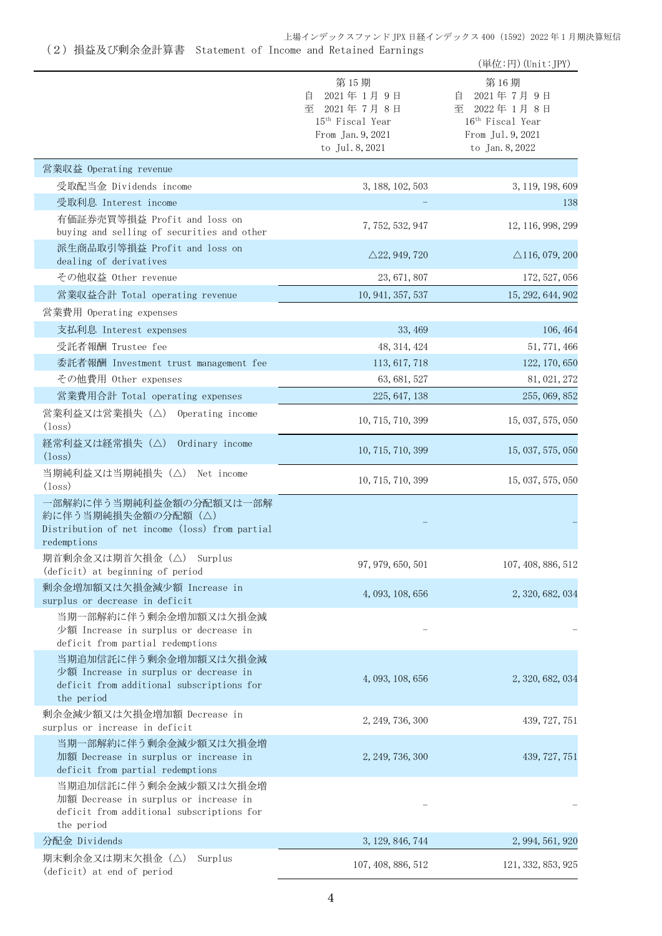上場インデックスファンド JPX 日経インデックス 400 (1592) 2022 年 1 月期決算短信

(2)損益及び剰余金計算書 Statement of Income and Retained Earnings

|                                                                                                                           |                                                                                                               | (単位:円) (Unit:JPY)                                                                                             |
|---------------------------------------------------------------------------------------------------------------------------|---------------------------------------------------------------------------------------------------------------|---------------------------------------------------------------------------------------------------------------|
|                                                                                                                           | 第15期<br>2021年1月9日<br>自<br>至 2021年7月8日<br>15 <sup>th</sup> Fiscal Year<br>From Jan. 9, 2021<br>to Jul. 8, 2021 | 第16期<br>2021年7月9日<br>目<br>至 2022年1月8日<br>16 <sup>th</sup> Fiscal Year<br>From Jul. 9, 2021<br>to Jan. 8, 2022 |
| 営業収益 Operating revenue                                                                                                    |                                                                                                               |                                                                                                               |
| 受取配当金 Dividends income                                                                                                    | 3, 188, 102, 503                                                                                              | 3, 119, 198, 609                                                                                              |
| 受取利息 Interest income                                                                                                      |                                                                                                               | 138                                                                                                           |
| 有価証券売買等損益 Profit and loss on<br>buying and selling of securities and other                                                | 7, 752, 532, 947                                                                                              | 12, 116, 998, 299                                                                                             |
| 派生商品取引等損益 Profit and loss on<br>dealing of derivatives                                                                    | $\triangle$ 22, 949, 720                                                                                      | $\triangle$ 116, 079, 200                                                                                     |
| その他収益 Other revenue                                                                                                       | 23, 671, 807                                                                                                  | 172, 527, 056                                                                                                 |
| 営業収益合計 Total operating revenue                                                                                            | 10, 941, 357, 537                                                                                             | 15, 292, 644, 902                                                                                             |
| 営業費用 Operating expenses                                                                                                   |                                                                                                               |                                                                                                               |
| 支払利息 Interest expenses                                                                                                    | 33, 469                                                                                                       | 106, 464                                                                                                      |
| 受託者報酬 Trustee fee                                                                                                         | 48, 314, 424                                                                                                  | 51, 771, 466                                                                                                  |
| 委託者報酬 Investment trust management fee                                                                                     | 113, 617, 718                                                                                                 | 122, 170, 650                                                                                                 |
| その他費用 Other expenses                                                                                                      | 63, 681, 527                                                                                                  | 81, 021, 272                                                                                                  |
| 営業費用合計 Total operating expenses                                                                                           | 225, 647, 138                                                                                                 | 255, 069, 852                                                                                                 |
| 営業利益又は営業損失 (△) Operating income<br>$(\text{loss})$                                                                        | 10, 715, 710, 399                                                                                             | 15, 037, 575, 050                                                                                             |
| 経常利益又は経常損失(△)<br>Ordinary income<br>$(\text{loss})$                                                                       | 10, 715, 710, 399                                                                                             | 15, 037, 575, 050                                                                                             |
| 当期純利益又は当期純損失(△)<br>Net income<br>$(\text{loss})$                                                                          | 10, 715, 710, 399                                                                                             | 15, 037, 575, 050                                                                                             |
| 一部解約に伴う当期純利益金額の分配額又は一部解<br>約に伴う当期純損失金額の分配額 (△)<br>Distribution of net income (loss) from partial<br>redemptions           |                                                                                                               |                                                                                                               |
| 期首剰余金又は期首欠損金 (△) Surplus<br>(deficit) at beginning of period                                                              | 97, 979, 650, 501                                                                                             | 107, 408, 886, 512                                                                                            |
| 剰余金増加額又は欠損金減少額 Increase in<br>surplus or decrease in deficit                                                              | 4, 093, 108, 656                                                                                              | 2, 320, 682, 034                                                                                              |
| 当期一部解約に伴う剰余金増加額又は欠損金減<br>少額 Increase in surplus or decrease in<br>deficit from partial redemptions                        |                                                                                                               |                                                                                                               |
| 当期追加信託に伴う剰余金増加額又は欠損金減<br>少額 Increase in surplus or decrease in<br>deficit from additional subscriptions for<br>the period | 4, 093, 108, 656                                                                                              | 2, 320, 682, 034                                                                                              |
| 剰余金減少額又は欠損金増加額 Decrease in<br>surplus or increase in deficit                                                              | 2, 249, 736, 300                                                                                              | 439, 727, 751                                                                                                 |
| 当期一部解約に伴う剰余金減少額又は欠損金増<br>加額 Decrease in surplus or increase in<br>deficit from partial redemptions                        | 2, 249, 736, 300                                                                                              | 439, 727, 751                                                                                                 |
| 当期追加信託に伴う剰余金減少額又は欠損金増<br>加額 Decrease in surplus or increase in<br>deficit from additional subscriptions for<br>the period |                                                                                                               |                                                                                                               |
| 分配金 Dividends                                                                                                             | 3, 129, 846, 744                                                                                              | 2, 994, 561, 920                                                                                              |
| 期末剰余金又は期末欠損金(△)<br>Surplus<br>(deficit) at end of period                                                                  | 107, 408, 886, 512                                                                                            | 121, 332, 853, 925                                                                                            |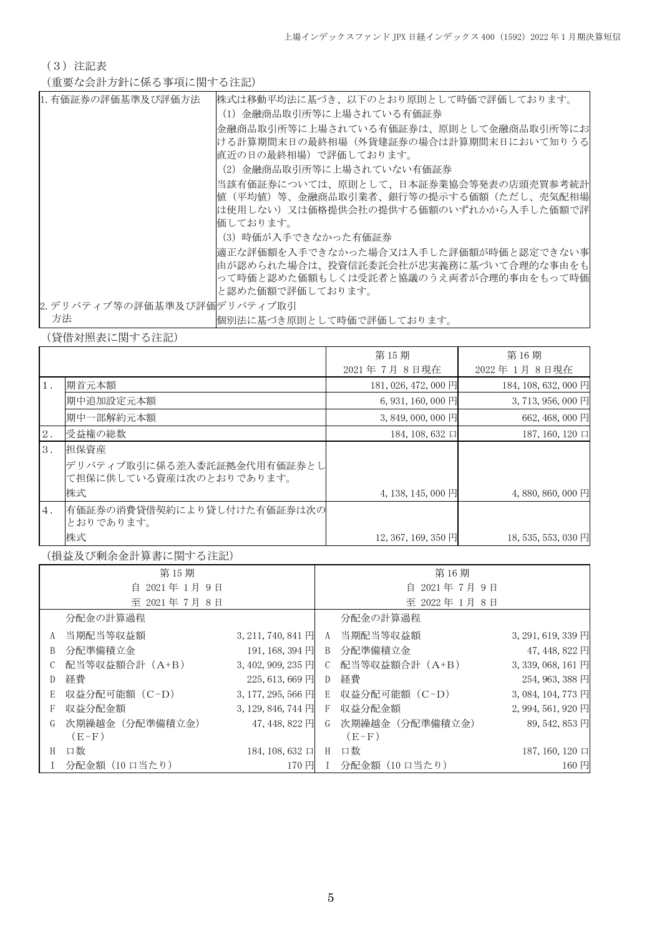(3)注記表

(重要な会計方針に係る事項に関する注記)

| 1. 有価証券の評価基準及び評価方法          | 株式は移動平均法に基づき、以下のとおり原則として時価で評価しております。  |
|-----------------------------|---------------------------------------|
|                             | (1)金融商品取引所等に上場されている有価証券               |
|                             | 金融商品取引所等に上場されている有価証券は、原則として金融商品取引所等にお |
|                             | ける計算期間末日の最終相場(外貨建証券の場合は計算期間末日において知りうる |
|                             | 直近の日の最終相場)で評価しております。                  |
|                             | (2) 金融商品取引所等に上場されていない有価証券             |
|                             | 当該有価証券については、原則として、日本証券業協会等発表の店頭売買参考統計 |
|                             | 値(平均値)等、金融商品取引業者、銀行等の提示する価額(ただし、売気配相場 |
|                             | は使用しない)又は価格提供会社の提供する価額のいずれかから入手した価額で評 |
|                             | 価しております。                              |
|                             | (3)時価が入手できなかった有価証券                    |
|                             | 適正な評価額を入手できなかった場合又は入手した評価額が時価と認定できない事 |
|                             | 由が認められた場合は、投資信託委託会社が忠実義務に基づいて合理的な事由をも |
|                             | って時価と認めた価額もしくは受託者と協議のうえ両者が合理的事由をもって時価 |
|                             | と認めた価額で評価しております。                      |
| 2. デリバティブ等の評価基準及び評価デリバティブ取引 |                                       |
| 方法                          | 個別法に基づき原則として時価で評価しております。              |

(貸借対照表に関する注記)

|       |                                                       | 第15期                 | 第16期                 |
|-------|-------------------------------------------------------|----------------------|----------------------|
|       |                                                       | 2021年7月8日現在          | 2022年1月8日現在          |
| $1$ . | 期首元本額                                                 | 181, 026, 472, 000 円 | 184, 108, 632, 000 円 |
|       | 期中追加設定元本額                                             | $6, 931, 160, 000$ 円 | 3, 713, 956, 000 円   |
|       | 期中一部解約元本額                                             | $3,849,000,000$ 円    | 662, 468, 000 円      |
| 2.    | 受益権の総数                                                | 184, 108, 632 $\Box$ | 187, 160, 120 口      |
| 3.    | 担保資産                                                  |                      |                      |
|       | デリバティブ取引に係る差入委託証拠金代用有価証券とし<br>て担保に供している資産は次のとおりであります。 |                      |                      |
|       | 株式                                                    | $4, 138, 145, 000$ 円 | 4,880,860,000 円      |
| 4.    | 有価証券の消費貸借契約により貸し付けた有価証券は次の<br>とおりであります。               |                      |                      |
|       | 株式                                                    | 12, 367, 169, 350 円  | 18, 535, 553, 030 円  |

(損益及び剰余金計算書に関する注記)

|             | 第15期            |                      |             | 第16期            |                    |
|-------------|-----------------|----------------------|-------------|-----------------|--------------------|
| 自 2021年1月9日 |                 | 自 2021年7月9日          |             |                 |                    |
|             | 至 2021年7月8日     |                      |             | 至 2022年1月8日     |                    |
|             | 分配金の計算過程        |                      |             | 分配金の計算過程        |                    |
| A           | 当期配当等収益額        | $3, 211, 740, 841$ 円 | A           | 当期配当等収益額        | 3, 291, 619, 339 円 |
| B           | 分配準備積立金         | 191, 168, 394 円      | B           | 分配準備積立金         | 47, 448, 822 円     |
|             | 配当等収益額合計 (A+B)  | $3,402,909,235$ 円    | $C_{\cdot}$ | 配当等収益額合計 (A+B)  | 3, 339, 068, 161 円 |
| D           | 経費              | 225, 613, 669 円      | D           | 経費              | 254, 963, 388 円    |
| E           | 収益分配可能額 (C-D)   | $3, 177, 295, 566$ 円 | E           | 収益分配可能額(C-D)    | 3, 084, 104, 773 円 |
| F           | 収益分配金額          | $3, 129, 846, 744$ 円 | F           | 収益分配金額          | 2, 994, 561, 920 円 |
| G           | 次期繰越金 (分配準備積立金) | 47, 448, 822 円       | G           | 次期繰越金 (分配準備積立金) | 89, 542, 853 円     |
|             | $(E-F)$         |                      |             | $(E-F)$         |                    |
| H           | 口数              | 184, 108, 632 口      | H           | 口数              | 187, 160, 120 口    |
|             | 分配金額(10 口当たり)   | 170 円 Ⅰ              |             | 分配金額(10 口当たり)   | 160円               |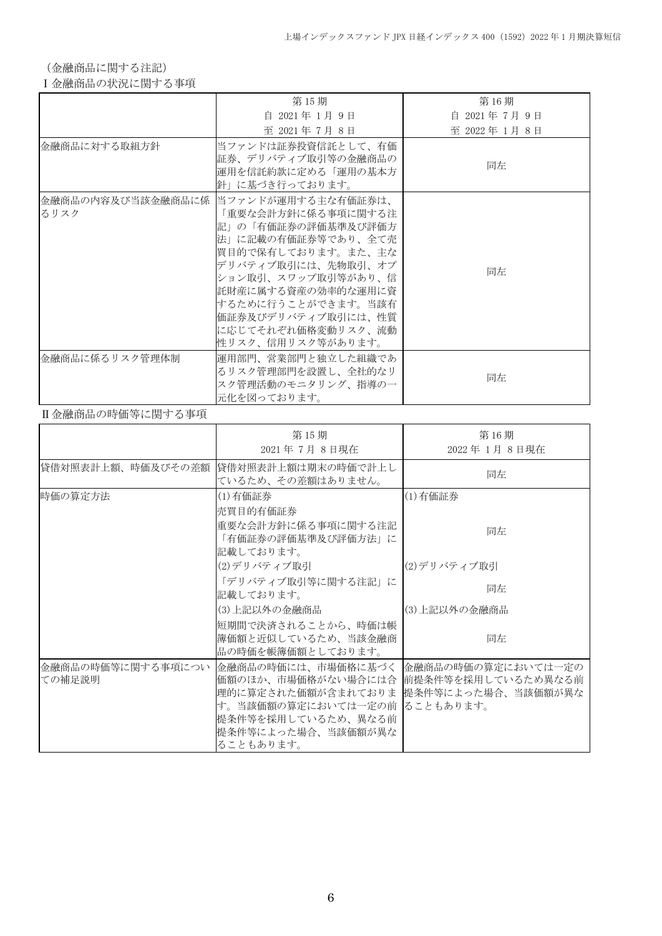(金融商品に関する注記)

## Ⅰ金融商品の状況に関する事項

|                | 第15期                                                                                                                                                                                                                                                                                     | 第16期          |
|----------------|------------------------------------------------------------------------------------------------------------------------------------------------------------------------------------------------------------------------------------------------------------------------------------------|---------------|
|                | 自 2021年 1月 9日                                                                                                                                                                                                                                                                            | 自 2021年7月9日   |
|                | 至 2021年7月8日                                                                                                                                                                                                                                                                              | 至 2022年 1月 8日 |
| 金融商品に対する取組方針   | 当ファンドは証券投資信託として、有価<br>証券、デリバティブ取引等の金融商品の<br>運用を信託約款に定める「運用の基本方<br>針」に基づき行っております。                                                                                                                                                                                                         | 同左            |
| るリスク           | 金融商品の内容及び当該金融商品に係  当ファンドが運用する主な有価証券は、<br>「重要な会計方針に係る事項に関する注<br>記」の「有価証券の評価基準及び評価方<br>法」に記載の有価証券等であり、全て売<br> 買目的で保有しております。また、主な<br>デリバティブ取引には、先物取引、オプ<br>ション取引、スワップ取引等があり、信<br>託財産に属する資産の効率的な運用に資<br> するために行うことができます。当該有<br>価証券及びデリバティブ取引には、性質<br>に応じてそれぞれ価格変動リスク、流動<br>性リスク、信用リスク等があります。 | 同左            |
| 金融商品に係るリスク管理体制 | 運用部門、営業部門と独立した組織であ<br>るリスク管理部門を設置し、全社的なリ<br>スク管理活動のモニタリング、指導の一<br>元化を図っております。                                                                                                                                                                                                            | 同左            |

## Ⅱ金融商品の時価等に関する事項

|                             | 第15期<br>2021年7月8日現在                                                                                                                                                                                                  | 第16期<br>2022年1月8日現在 |
|-----------------------------|----------------------------------------------------------------------------------------------------------------------------------------------------------------------------------------------------------------------|---------------------|
| 貸借対照表計上額、時価及びその差額           | 貸借対照表計上額は期末の時価で計上し<br>ているため、その差額はありません。                                                                                                                                                                              | 同左                  |
| 時価の算定方法                     | (1)有価証券<br>売買目的有価証券                                                                                                                                                                                                  | (1)有価証券             |
|                             | 重要な会計方針に係る事項に関する注記<br>「有価証券の評価基準及び評価方法」に<br>記載しております。                                                                                                                                                                | 同左                  |
|                             | (2)デリバティブ取引                                                                                                                                                                                                          | (2)デリバティブ取引         |
|                             | 「デリバティブ取引等に関する注記」に<br>記載しております。                                                                                                                                                                                      | 同左                  |
|                             | (3)上記以外の金融商品                                                                                                                                                                                                         | (3)上記以外の金融商品        |
|                             | 短期間で決済されることから、時価は帳<br> 簿価額と近似しているため、当該金融商<br>品の時価を帳簿価額としております。                                                                                                                                                       | 同左                  |
| 金融商品の時価等に関する事項につい<br>ての補足説明 | 金融商品の時価には、市場価格に基づく   金融商品の時価の算定においては一定の <br>価額のほか、市場価格がない場合には合  前提条件等を採用しているため異なる前<br>理的に算定された価額が含まれておりま 提条件等によった場合、当該価額が異な<br>す。当該価額の算定においては一定の前 ることもあります。<br>提条件等を採用しているため、異なる前<br>提条件等によった場合、当該価額が異な<br>ることもあります。 |                     |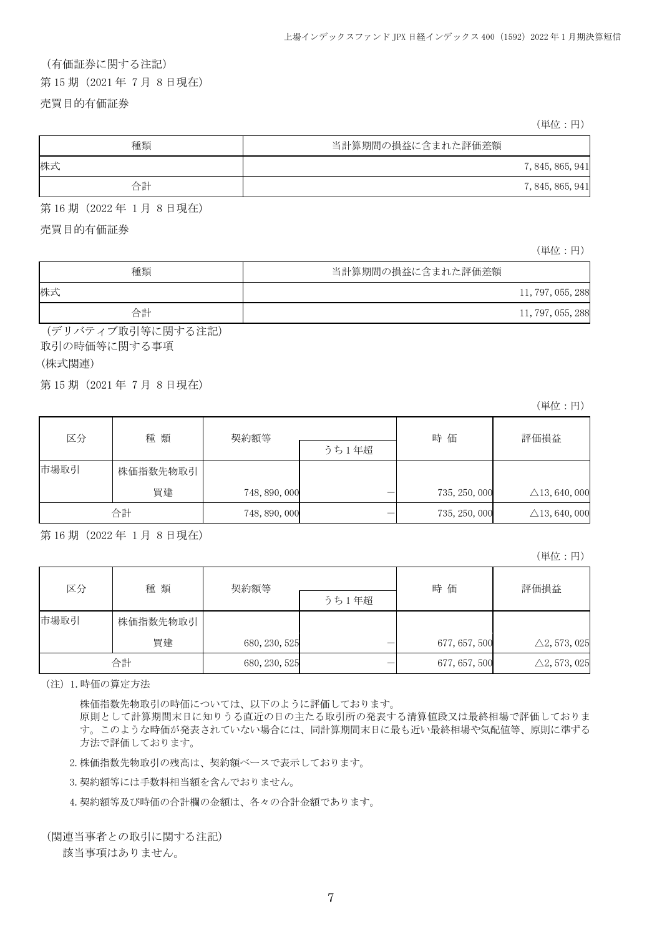#### (有価証券に関する注記)

第 15 期(2021 年 7 月 8 日現在)

### 売買目的有価証券

(単位:円)

| 種類 | 当計算期間の損益に含まれた評価差額 |                  |
|----|-------------------|------------------|
| 株式 |                   | 7, 845, 865, 941 |
| 合計 |                   | 7, 845, 865, 941 |

第 16 期(2022 年 1 月 8 日現在)

売買目的有価証券

(単位:円)

| 種類 | 当計算期間の損益に含まれた評価差額 |                   |
|----|-------------------|-------------------|
| 株式 |                   | 11, 797, 055, 288 |
| 合計 |                   | 11, 797, 055, 288 |

(デリバティブ取引等に関する注記) 取引の時価等に関する事項

### (株式関連)

j.

第 15 期(2021 年 7 月 8 日現在)

(単位:円)

| 区分   | 種類       | 契約額等          |  | 時価            | 評価損益                     |
|------|----------|---------------|--|---------------|--------------------------|
|      |          | うち1年超         |  |               |                          |
| 市場取引 | 株価指数先物取引 |               |  |               |                          |
|      | 買建       | 748, 890, 000 |  | 735, 250, 000 | $\triangle$ 13, 640, 000 |
|      | 合計       | 748, 890, 000 |  | 735, 250, 000 | $\triangle$ 13, 640, 000 |

第 16 期(2022 年 1 月 8 日現在)

(単位:円)

| 種類<br>区分 |          | 契約額等          |       | 時価            | 評価損益                    |
|----------|----------|---------------|-------|---------------|-------------------------|
|          |          |               | うち1年超 |               |                         |
| 市場取引     | 株価指数先物取引 |               |       |               |                         |
|          | 買建       | 680, 230, 525 |       | 677, 657, 500 | $\triangle 2, 573, 025$ |
|          | 合計       | 680, 230, 525 |       | 677, 657, 500 | $\triangle 2, 573, 025$ |

(注)1.時価の算定方法

株価指数先物取引の時価については、以下のように評価しております。

原則として計算期間末日に知りうる直近の日の主たる取引所の発表する清算値段又は最終相場で評価しておりま す。このような時価が発表されていない場合には、同計算期間末日に最も近い最終相場や気配値等、原則に準ずる 方法で評価しております。

2.株価指数先物取引の残高は、契約額ベースで表示しております。

3.契約額等には手数料相当額を含んでおりません。

4.契約額等及び時価の合計欄の金額は、各々の合計金額であります。

(関連当事者との取引に関する注記)

該当事項はありません。